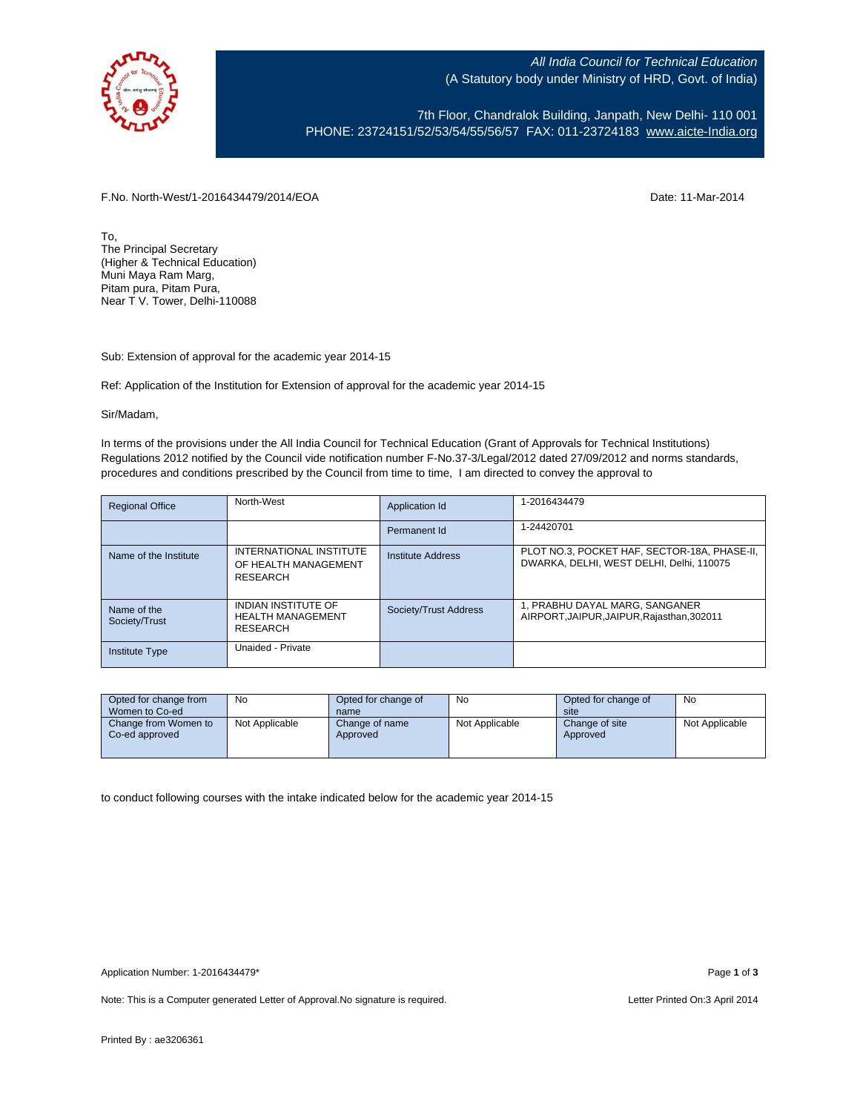

All India Council for Technical Education (A Statutory body under Ministry of HRD, Govt. of India)

7th Floor, Chandralok Building, Janpath, New Delhi- 110 001 PHONE: 23724151/52/53/54/55/56/57 FAX: 011-23724183 [www.aicte-India.org](http://www.aicte-india.org/)

F.No. North-West/1-2016434479/2014/EOA Date: 11-Mar-2014

To, The Principal Secretary (Higher & Technical Education) Muni Maya Ram Marg, Pitam pura, Pitam Pura, Near T V. Tower, Delhi-110088

Sub: Extension of approval for the academic year 2014-15

Ref: Application of the Institution for Extension of approval for the academic year 2014-15

## Sir/Madam,

In terms of the provisions under the All India Council for Technical Education (Grant of Approvals for Technical Institutions) Regulations 2012 notified by the Council vide notification number F-No.37-3/Legal/2012 dated 27/09/2012 and norms standards, procedures and conditions prescribed by the Council from time to time, I am directed to convey the approval to

| <b>Regional Office</b>       | North-West                                                         | Application Id        | 1-2016434479                                                                             |
|------------------------------|--------------------------------------------------------------------|-----------------------|------------------------------------------------------------------------------------------|
|                              |                                                                    | Permanent Id          | 1-24420701                                                                               |
| Name of the Institute        | INTERNATIONAL INSTITUTE<br>OF HEALTH MANAGEMENT<br>RESEARCH        | Institute Address     | PLOT NO.3, POCKET HAF, SECTOR-18A, PHASE-II,<br>DWARKA, DELHI, WEST DELHI, Delhi, 110075 |
| Name of the<br>Society/Trust | <b>INDIAN INSTITUTE OF</b><br><b>HEALTH MANAGEMENT</b><br>RESEARCH | Society/Trust Address | 1, PRABHU DAYAL MARG, SANGANER<br>AIRPORT, JAIPUR, JAIPUR, Rajasthan, 302011             |
| <b>Institute Type</b>        | Unaided - Private                                                  |                       |                                                                                          |

| Opted for change from                  | No             | Opted for change of        | <b>No</b>      | Opted for change of        | No             |  |
|----------------------------------------|----------------|----------------------------|----------------|----------------------------|----------------|--|
| Women to Co-ed                         |                | name                       |                | site                       |                |  |
| Change from Women to<br>Co-ed approved | Not Applicable | Change of name<br>Approved | Not Applicable | Change of site<br>Approved | Not Applicable |  |

to conduct following courses with the intake indicated below for the academic year 2014-15

Note: This is a Computer generated Letter of Approval. No signature is required. <br>
Note: This is a Computer generated Letter of Approval. No signature is required.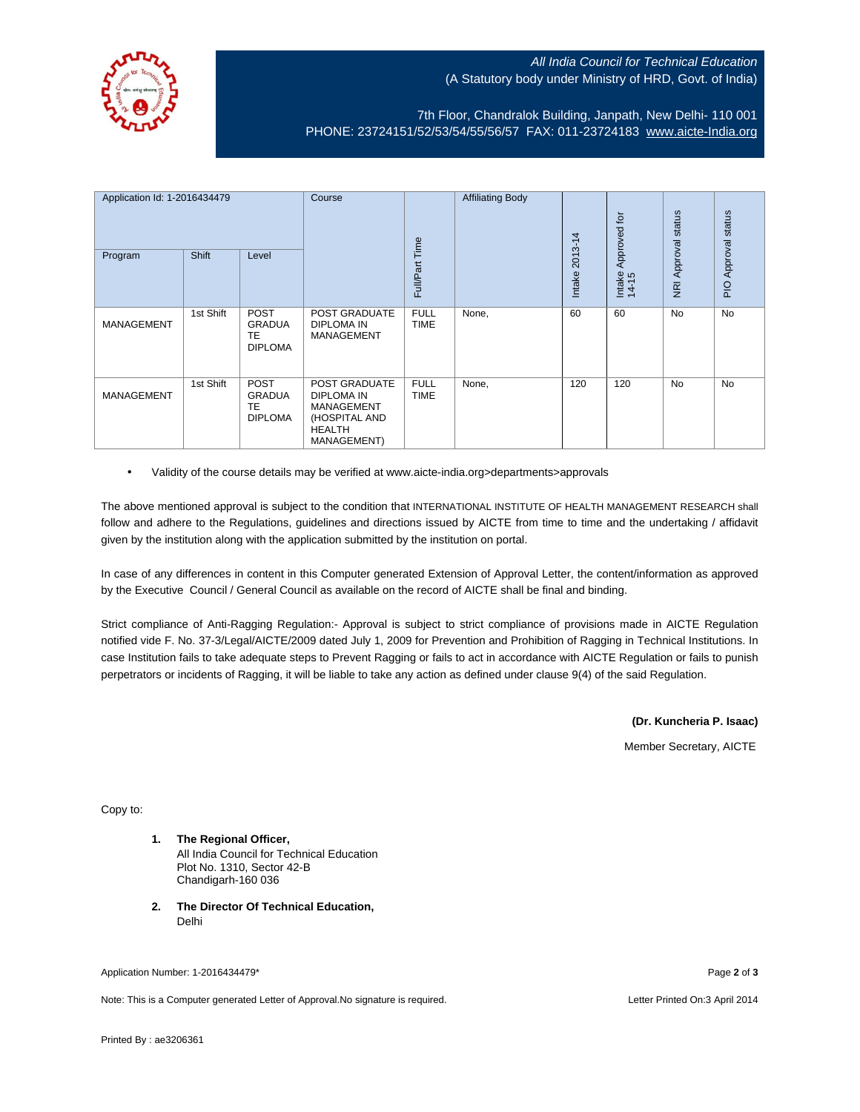

## All India Council for Technical Education (A Statutory body under Ministry of HRD, Govt. of India)

## 7th Floor, Chandralok Building, Janpath, New Delhi- 110 001 PHONE: 23724151/52/53/54/55/56/57 FAX: 011-23724183 [www.aicte-India.org](http://www.aicte-india.org/)

| Application Id: 1-2016434479<br><b>Shift</b><br>Program<br>Level |           | Course                                                      | Full/Part Time                                                                                    | <b>Affiliating Body</b>    | 2013-14<br>Intake | Approved for<br>Intake<br>14-15 | status<br><b>NRI Approval</b> | status<br>Approval<br>$\frac{1}{2}$ |           |
|------------------------------------------------------------------|-----------|-------------------------------------------------------------|---------------------------------------------------------------------------------------------------|----------------------------|-------------------|---------------------------------|-------------------------------|-------------------------------------|-----------|
| <b>MANAGEMENT</b>                                                | 1st Shift | <b>POST</b><br><b>GRADUA</b><br><b>TE</b><br><b>DIPLOMA</b> | POST GRADUATE<br>DIPLOMA IN<br><b>MANAGEMENT</b>                                                  | <b>FULL</b><br><b>TIME</b> | None,             | 60                              | 60                            | <b>No</b>                           | <b>No</b> |
| <b>MANAGEMENT</b>                                                | 1st Shift | <b>POST</b><br><b>GRADUA</b><br><b>TE</b><br><b>DIPLOMA</b> | POST GRADUATE<br>DIPLOMA IN<br><b>MANAGEMENT</b><br>(HOSPITAL AND<br><b>HEALTH</b><br>MANAGEMENT) | <b>FULL</b><br>TIME        | None,             | 120                             | 120                           | <b>No</b>                           | <b>No</b> |

• Validity of the course details may be verified at www.aicte-india.org>departments>approvals

The above mentioned approval is subject to the condition that INTERNATIONAL INSTITUTE OF HEALTH MANAGEMENT RESEARCH shall follow and adhere to the Regulations, guidelines and directions issued by AICTE from time to time and the undertaking / affidavit given by the institution along with the application submitted by the institution on portal.

In case of any differences in content in this Computer generated Extension of Approval Letter, the content/information as approved by the Executive Council / General Council as available on the record of AICTE shall be final and binding.

Strict compliance of Anti-Ragging Regulation:- Approval is subject to strict compliance of provisions made in AICTE Regulation notified vide F. No. 37-3/Legal/AICTE/2009 dated July 1, 2009 for Prevention and Prohibition of Ragging in Technical Institutions. In case Institution fails to take adequate steps to Prevent Ragging or fails to act in accordance with AICTE Regulation or fails to punish perpetrators or incidents of Ragging, it will be liable to take any action as defined under clause 9(4) of the said Regulation.

**(Dr. Kuncheria P. Isaac)**

Member Secretary, AICTE

Copy to:

- **1. The Regional Officer,** All India Council for Technical Education Plot No. 1310, Sector 42-B Chandigarh-160 036
- **2. The Director Of Technical Education,** Delhi

Application Number: 1-2016434479\* Page **2** of **3**

Note: This is a Computer generated Letter of Approval.No signature is required. Letter Printed On:3 April 2014